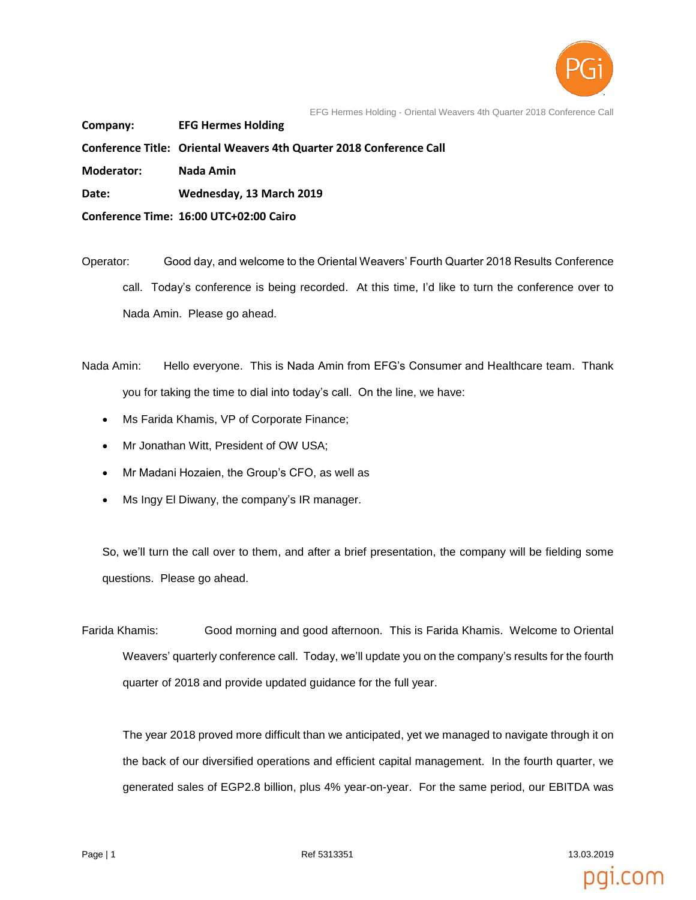

EFG Hermes Holding - Oriental Weavers 4th Quarter 2018 Conference Call

**Company: EFG Hermes Holding**

**Conference Title: Oriental Weavers 4th Quarter 2018 Conference Call**

**Moderator: Nada Amin**

**Date: Wednesday, 13 March 2019**

**Conference Time: 16:00 UTC+02:00 Cairo**

Operator: Good day, and welcome to the Oriental Weavers' Fourth Quarter 2018 Results Conference call. Today's conference is being recorded. At this time, I'd like to turn the conference over to Nada Amin. Please go ahead.

Nada Amin: Hello everyone. This is Nada Amin from EFG's Consumer and Healthcare team. Thank you for taking the time to dial into today's call. On the line, we have:

- Ms Farida Khamis, VP of Corporate Finance;
- Mr Jonathan Witt, President of OW USA;
- Mr Madani Hozaien, the Group's CFO, as well as
- Ms Ingy El Diwany, the company's IR manager.

So, we'll turn the call over to them, and after a brief presentation, the company will be fielding some questions. Please go ahead.

Farida Khamis: Good morning and good afternoon. This is Farida Khamis. Welcome to Oriental Weavers' quarterly conference call. Today, we'll update you on the company's results for the fourth quarter of 2018 and provide updated guidance for the full year.

The year 2018 proved more difficult than we anticipated, yet we managed to navigate through it on the back of our diversified operations and efficient capital management. In the fourth quarter, we generated sales of EGP2.8 billion, plus 4% year-on-year. For the same period, our EBITDA was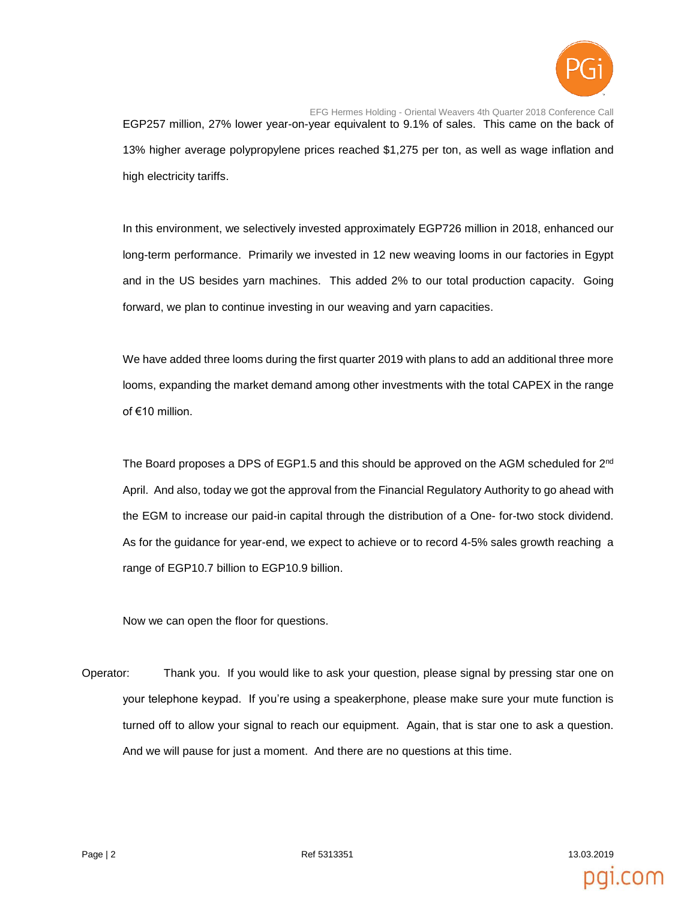

EFG Hermes Holding - Oriental Weavers 4th Quarter 2018 Conference Call EGP257 million, 27% lower year-on-year equivalent to 9.1% of sales. This came on the back of 13% higher average polypropylene prices reached \$1,275 per ton, as well as wage inflation and high electricity tariffs.

In this environment, we selectively invested approximately EGP726 million in 2018, enhanced our long-term performance. Primarily we invested in 12 new weaving looms in our factories in Egypt and in the US besides yarn machines. This added 2% to our total production capacity. Going forward, we plan to continue investing in our weaving and yarn capacities.

We have added three looms during the first quarter 2019 with plans to add an additional three more looms, expanding the market demand among other investments with the total CAPEX in the range of €10 million.

The Board proposes a DPS of EGP1.5 and this should be approved on the AGM scheduled for 2<sup>nd</sup> April. And also, today we got the approval from the Financial Regulatory Authority to go ahead with the EGM to increase our paid-in capital through the distribution of a One- for-two stock dividend. As for the guidance for year-end, we expect to achieve or to record 4-5% sales growth reaching a range of EGP10.7 billion to EGP10.9 billion.

Now we can open the floor for questions.

Operator: Thank you. If you would like to ask your question, please signal by pressing star one on your telephone keypad. If you're using a speakerphone, please make sure your mute function is turned off to allow your signal to reach our equipment. Again, that is star one to ask a question. And we will pause for just a moment. And there are no questions at this time.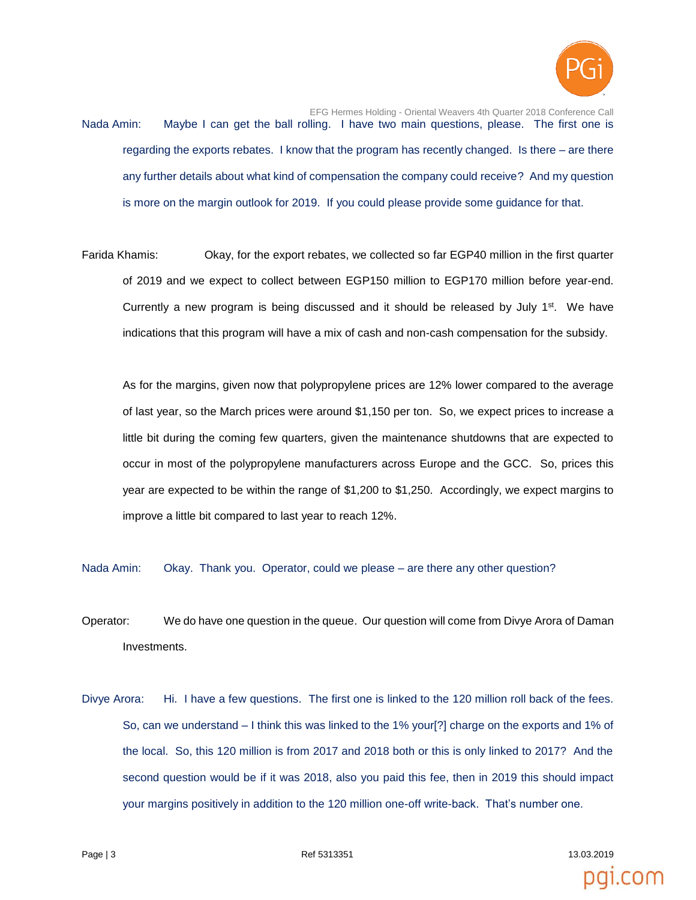

EFG Hermes Holding - Oriental Weavers 4th Quarter 2018 Conference Call Nada Amin: Maybe I can get the ball rolling. I have two main questions, please. The first one is regarding the exports rebates. I know that the program has recently changed. Is there – are there any further details about what kind of compensation the company could receive? And my question is more on the margin outlook for 2019. If you could please provide some guidance for that.

Farida Khamis: Okay, for the export rebates, we collected so far EGP40 million in the first quarter of 2019 and we expect to collect between EGP150 million to EGP170 million before year-end. Currently a new program is being discussed and it should be released by July  $1<sup>st</sup>$ . We have indications that this program will have a mix of cash and non-cash compensation for the subsidy.

As for the margins, given now that polypropylene prices are 12% lower compared to the average of last year, so the March prices were around \$1,150 per ton. So, we expect prices to increase a little bit during the coming few quarters, given the maintenance shutdowns that are expected to occur in most of the polypropylene manufacturers across Europe and the GCC. So, prices this year are expected to be within the range of \$1,200 to \$1,250. Accordingly, we expect margins to improve a little bit compared to last year to reach 12%.

Nada Amin: Okay. Thank you. Operator, could we please – are there any other question?

- Operator: We do have one question in the queue. Our question will come from Divye Arora of Daman Investments.
- Divye Arora: Hi. I have a few questions. The first one is linked to the 120 million roll back of the fees. So, can we understand – I think this was linked to the 1% your[?] charge on the exports and 1% of the local. So, this 120 million is from 2017 and 2018 both or this is only linked to 2017? And the second question would be if it was 2018, also you paid this fee, then in 2019 this should impact your margins positively in addition to the 120 million one-off write-back. That's number one.

Page | 3 Ref 5313351 13.03.2019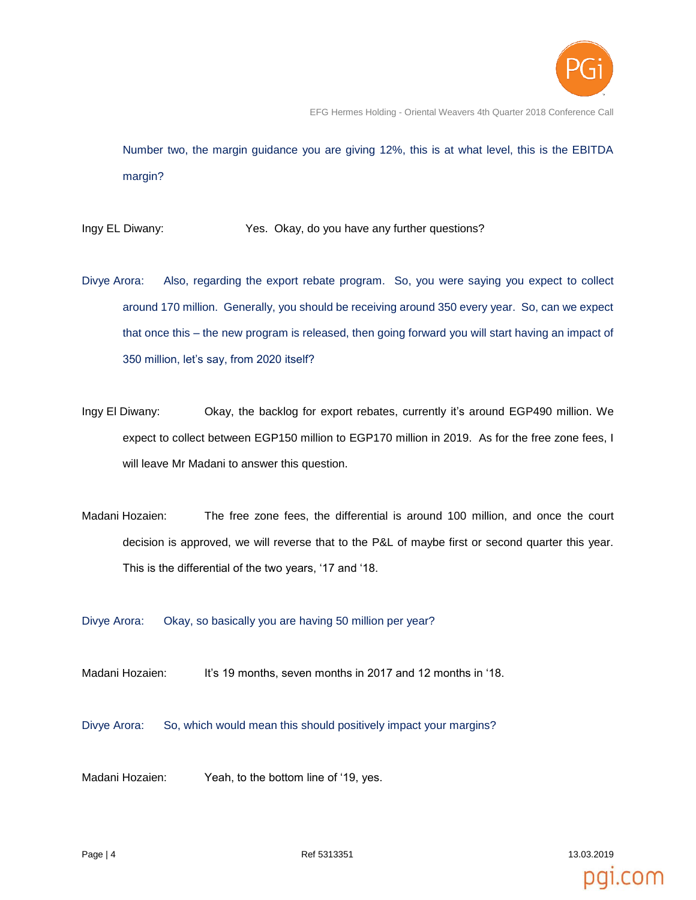

EFG Hermes Holding - Oriental Weavers 4th Quarter 2018 Conference Call

Number two, the margin guidance you are giving 12%, this is at what level, this is the EBITDA margin?

Ingy EL Diwany: Yes. Okay, do you have any further questions?

- Divye Arora: Also, regarding the export rebate program. So, you were saying you expect to collect around 170 million. Generally, you should be receiving around 350 every year. So, can we expect that once this – the new program is released, then going forward you will start having an impact of 350 million, let's say, from 2020 itself?
- Ingy El Diwany: Okay, the backlog for export rebates, currently it's around EGP490 million. We expect to collect between EGP150 million to EGP170 million in 2019. As for the free zone fees, I will leave Mr Madani to answer this question.
- Madani Hozaien: The free zone fees, the differential is around 100 million, and once the court decision is approved, we will reverse that to the P&L of maybe first or second quarter this year. This is the differential of the two years, '17 and '18.

Divye Arora: Okay, so basically you are having 50 million per year?

Madani Hozaien: It's 19 months, seven months in 2017 and 12 months in '18.

Divye Arora: So, which would mean this should positively impact your margins?

Madani Hozaien: Yeah, to the bottom line of '19, yes.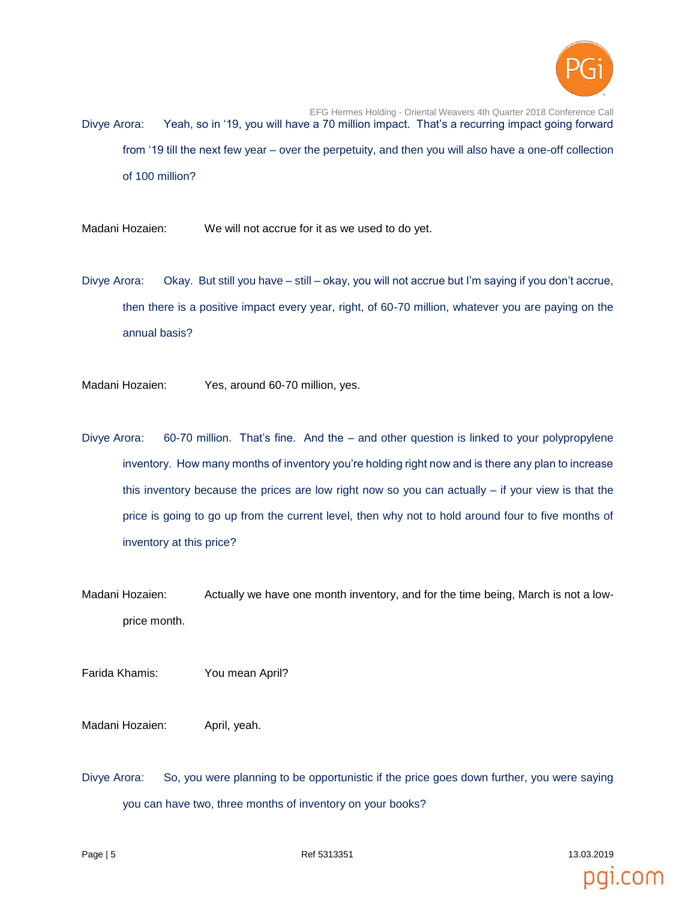

EFG Hermes Holding - Oriental Weavers 4th Quarter 2018 Conference Call Divye Arora: Yeah, so in '19, you will have a 70 million impact. That's a recurring impact going forward from '19 till the next few year – over the perpetuity, and then you will also have a one-off collection of 100 million?

Madani Hozaien: We will not accrue for it as we used to do yet.

Divye Arora: Okay. But still you have – still – okay, you will not accrue but I'm saying if you don't accrue, then there is a positive impact every year, right, of 60-70 million, whatever you are paying on the annual basis?

Madani Hozaien: Yes, around 60-70 million, yes.

- Divye Arora: 60-70 million. That's fine. And the and other question is linked to your polypropylene inventory. How many months of inventory you're holding right now and is there any plan to increase this inventory because the prices are low right now so you can actually  $-$  if your view is that the price is going to go up from the current level, then why not to hold around four to five months of inventory at this price?
- Madani Hozaien: Actually we have one month inventory, and for the time being, March is not a lowprice month.

Farida Khamis: You mean April?

Madani Hozaien: April, yeah.

Divye Arora: So, you were planning to be opportunistic if the price goes down further, you were saying you can have two, three months of inventory on your books?

Page | 5  $\blacksquare$  5313351 13.03.2019 13.03.2019 13.03.2019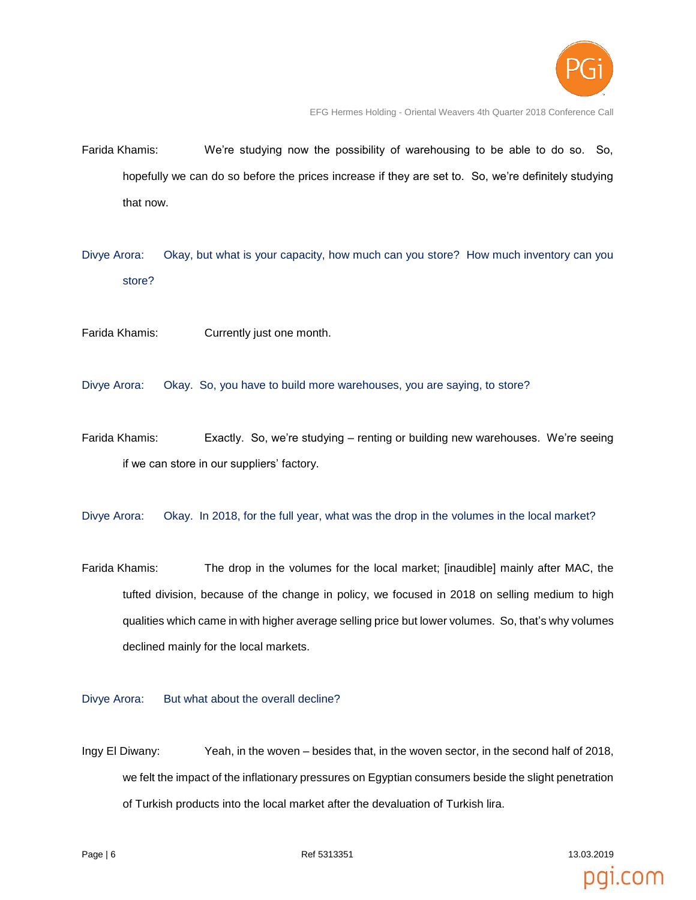

pal.com

EFG Hermes Holding - Oriental Weavers 4th Quarter 2018 Conference Call

- Farida Khamis: We're studying now the possibility of warehousing to be able to do so. So, hopefully we can do so before the prices increase if they are set to. So, we're definitely studying that now.
- Divye Arora: Okay, but what is your capacity, how much can you store? How much inventory can you store?
- Farida Khamis: Currently just one month.
- Divye Arora: Okay. So, you have to build more warehouses, you are saying, to store?
- Farida Khamis: Exactly. So, we're studying renting or building new warehouses. We're seeing if we can store in our suppliers' factory.
- Divye Arora: Okay. In 2018, for the full year, what was the drop in the volumes in the local market?
- Farida Khamis: The drop in the volumes for the local market; [inaudible] mainly after MAC, the tufted division, because of the change in policy, we focused in 2018 on selling medium to high qualities which came in with higher average selling price but lower volumes. So, that's why volumes declined mainly for the local markets.

Divye Arora: But what about the overall decline?

Ingy El Diwany: Yeah, in the woven – besides that, in the woven sector, in the second half of 2018, we felt the impact of the inflationary pressures on Egyptian consumers beside the slight penetration of Turkish products into the local market after the devaluation of Turkish lira.

Page | 6 Ref 5313351 13.03.2019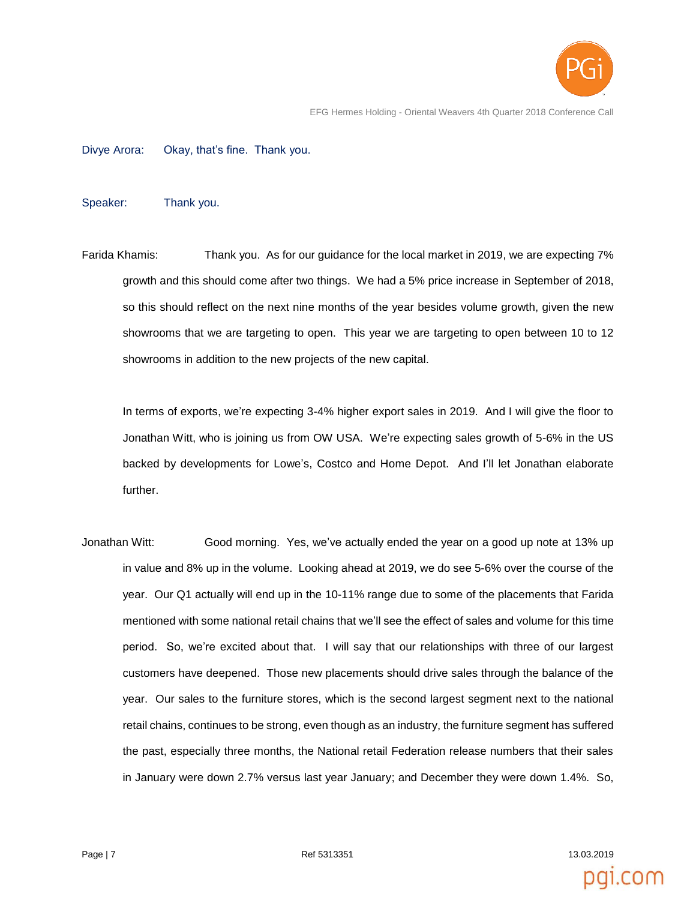

EFG Hermes Holding - Oriental Weavers 4th Quarter 2018 Conference Call

Divye Arora: Okay, that's fine. Thank you.

Speaker: Thank you.

Farida Khamis: Thank you. As for our guidance for the local market in 2019, we are expecting 7% growth and this should come after two things. We had a 5% price increase in September of 2018, so this should reflect on the next nine months of the year besides volume growth, given the new showrooms that we are targeting to open. This year we are targeting to open between 10 to 12 showrooms in addition to the new projects of the new capital.

In terms of exports, we're expecting 3-4% higher export sales in 2019. And I will give the floor to Jonathan Witt, who is joining us from OW USA. We're expecting sales growth of 5-6% in the US backed by developments for Lowe's, Costco and Home Depot. And I'll let Jonathan elaborate further.

Jonathan Witt: Good morning. Yes, we've actually ended the year on a good up note at 13% up in value and 8% up in the volume. Looking ahead at 2019, we do see 5-6% over the course of the year. Our Q1 actually will end up in the 10-11% range due to some of the placements that Farida mentioned with some national retail chains that we'll see the effect of sales and volume for this time period. So, we're excited about that. I will say that our relationships with three of our largest customers have deepened. Those new placements should drive sales through the balance of the year. Our sales to the furniture stores, which is the second largest segment next to the national retail chains, continues to be strong, even though as an industry, the furniture segment has suffered the past, especially three months, the National retail Federation release numbers that their sales in January were down 2.7% versus last year January; and December they were down 1.4%. So,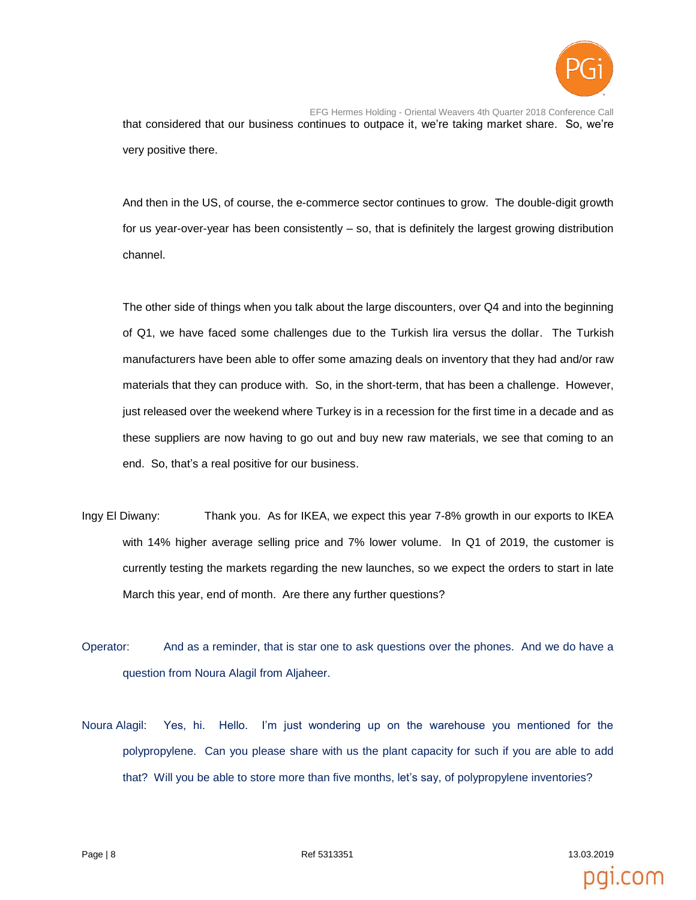

EFG Hermes Holding - Oriental Weavers 4th Quarter 2018 Conference Call that considered that our business continues to outpace it, we're taking market share. So, we're very positive there.

And then in the US, of course, the e-commerce sector continues to grow. The double-digit growth for us year-over-year has been consistently – so, that is definitely the largest growing distribution channel.

The other side of things when you talk about the large discounters, over Q4 and into the beginning of Q1, we have faced some challenges due to the Turkish lira versus the dollar. The Turkish manufacturers have been able to offer some amazing deals on inventory that they had and/or raw materials that they can produce with. So, in the short-term, that has been a challenge. However, just released over the weekend where Turkey is in a recession for the first time in a decade and as these suppliers are now having to go out and buy new raw materials, we see that coming to an end. So, that's a real positive for our business.

- Ingy El Diwany: Thank you. As for IKEA, we expect this year 7-8% growth in our exports to IKEA with 14% higher average selling price and 7% lower volume. In Q1 of 2019, the customer is currently testing the markets regarding the new launches, so we expect the orders to start in late March this year, end of month. Are there any further questions?
- Operator: And as a reminder, that is star one to ask questions over the phones. And we do have a question from Noura Alagil from Aljaheer.
- Noura Alagil: Yes, hi. Hello. I'm just wondering up on the warehouse you mentioned for the polypropylene. Can you please share with us the plant capacity for such if you are able to add that? Will you be able to store more than five months, let's say, of polypropylene inventories?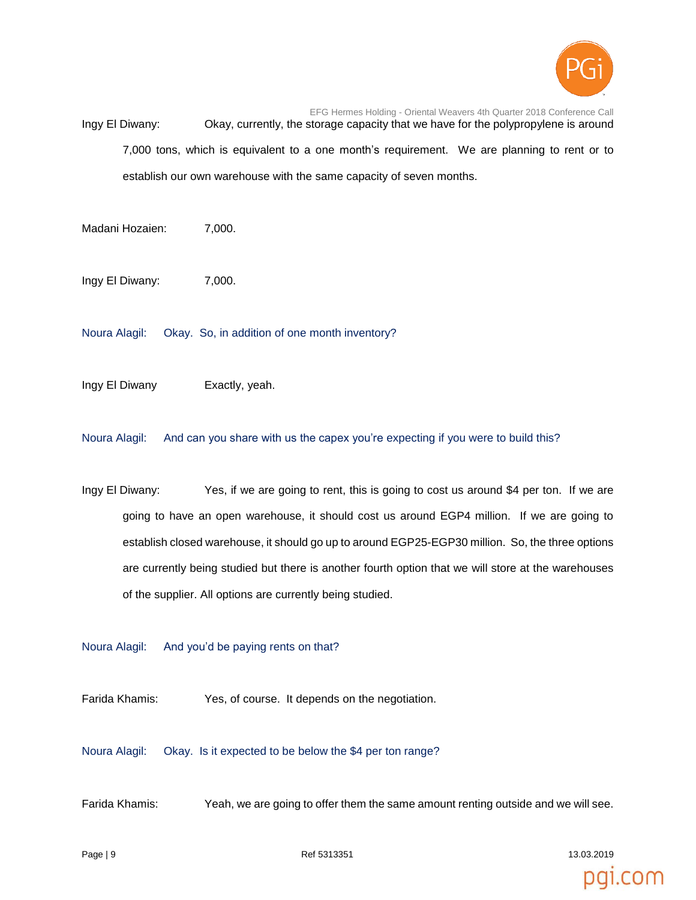

EFG Hermes Holding - Oriental Weavers 4th Quarter 2018 Conference Call Ingy El Diwany: Okay, currently, the storage capacity that we have for the polypropylene is around 7,000 tons, which is equivalent to a one month's requirement. We are planning to rent or to establish our own warehouse with the same capacity of seven months.

Madani Hozaien: 7,000.

Ingy El Diwany: 7,000.

Noura Alagil: Okay. So, in addition of one month inventory?

Ingy El Diwany Exactly, yeah.

Noura Alagil: And can you share with us the capex you're expecting if you were to build this?

Ingy El Diwany: Yes, if we are going to rent, this is going to cost us around \$4 per ton. If we are going to have an open warehouse, it should cost us around EGP4 million. If we are going to establish closed warehouse, it should go up to around EGP25-EGP30 million. So, the three options are currently being studied but there is another fourth option that we will store at the warehouses of the supplier. All options are currently being studied.

Noura Alagil: And you'd be paying rents on that?

Farida Khamis: Yes, of course. It depends on the negotiation.

Noura Alagil: Okay. Is it expected to be below the \$4 per ton range?

Farida Khamis: Yeah, we are going to offer them the same amount renting outside and we will see.

Page | 9 Ref 5313351 13.03.2019

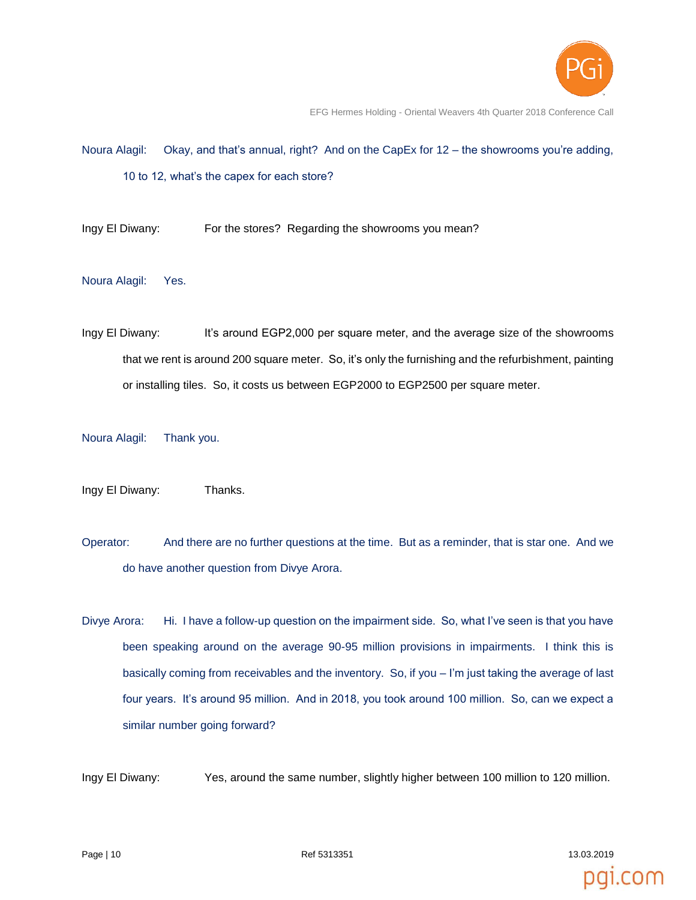

pgi.com

EFG Hermes Holding - Oriental Weavers 4th Quarter 2018 Conference Call

- Noura Alagil: Okay, and that's annual, right? And on the CapEx for 12 the showrooms you're adding, 10 to 12, what's the capex for each store?
- Ingy El Diwany: For the stores? Regarding the showrooms you mean?
- Noura Alagil: Yes.
- Ingy El Diwany: It's around EGP2,000 per square meter, and the average size of the showrooms that we rent is around 200 square meter. So, it's only the furnishing and the refurbishment, painting or installing tiles. So, it costs us between EGP2000 to EGP2500 per square meter.
- Noura Alagil: Thank you.
- Ingy El Diwany: Thanks.
- Operator: And there are no further questions at the time. But as a reminder, that is star one. And we do have another question from Divye Arora.
- Divye Arora: Hi. I have a follow-up question on the impairment side. So, what I've seen is that you have been speaking around on the average 90-95 million provisions in impairments. I think this is basically coming from receivables and the inventory. So, if you – I'm just taking the average of last four years. It's around 95 million. And in 2018, you took around 100 million. So, can we expect a similar number going forward?

Ingy El Diwany: Yes, around the same number, slightly higher between 100 million to 120 million.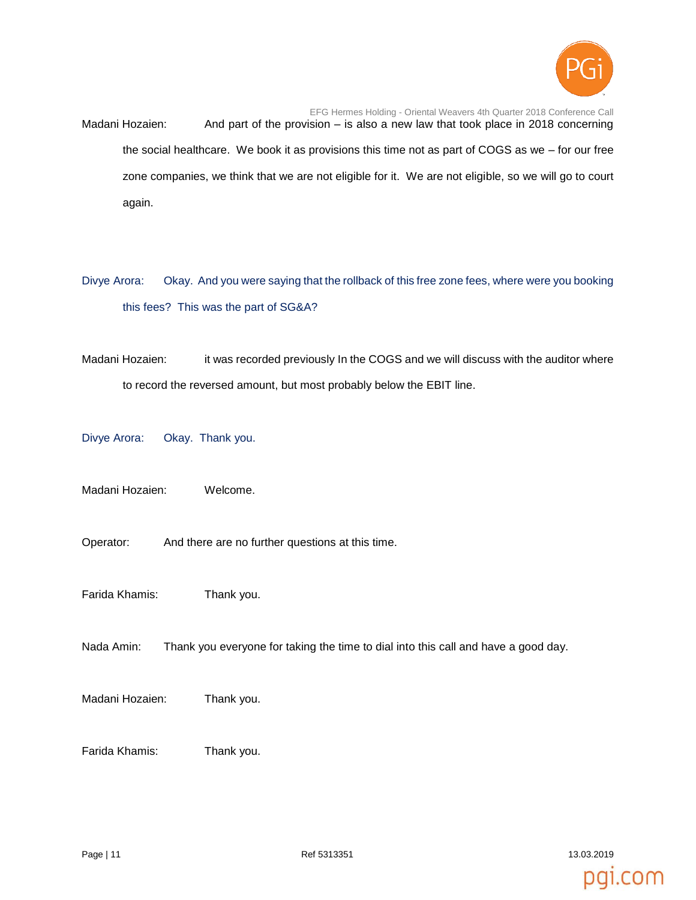

EFG Hermes Holding - Oriental Weavers 4th Quarter 2018 Conference Call Madani Hozaien: And part of the provision – is also a new law that took place in 2018 concerning the social healthcare. We book it as provisions this time not as part of COGS as we – for our free zone companies, we think that we are not eligible for it. We are not eligible, so we will go to court again.

- Divye Arora: Okay. And you were saying that the rollback of this free zone fees, where were you booking this fees? This was the part of SG&A?
- Madani Hozaien: it was recorded previously In the COGS and we will discuss with the auditor where to record the reversed amount, but most probably below the EBIT line.

Divye Arora: Okay. Thank you.

Madani Hozaien: Welcome.

- Operator: And there are no further questions at this time.
- Farida Khamis: Thank you.
- Nada Amin: Thank you everyone for taking the time to dial into this call and have a good day.
- Madani Hozaien: Thank you.
- Farida Khamis: Thank you.